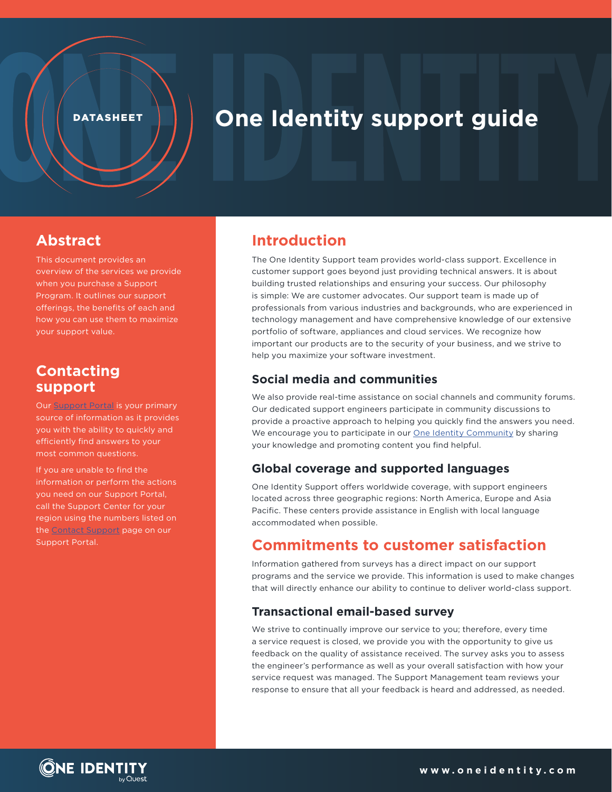#### **DATASHEET**

# **One Identity support guide**

### **Abstract**

This document provides an overview of the services we provide when you purchase a Support Program. It outlines our support offerings, the benefits of each and how you can use them to maximize your support value.

### **Contacting support**

Our **Support Portal** is your primary source of information as it provides you with the ability to quickly and efficiently find answers to your most common questions.

If you are unable to find the information or perform the actions you need on our Support Portal, call the Support Center for your region using the numbers listed on the **Contact Support** page on our Support Portal.

### **Introduction**

The One Identity Support team provides world-class support. Excellence in customer support goes beyond just providing technical answers. It is about building trusted relationships and ensuring your success. Our philosophy is simple: We are customer advocates. Our support team is made up of professionals from various industries and backgrounds, who are experienced in technology management and have comprehensive knowledge of our extensive portfolio of software, appliances and cloud services. We recognize how important our products are to the security of your business, and we strive to help you maximize your software investment.

#### **Social media and communities**

We also provide real-time assistance on social channels and community forums. Our dedicated support engineers participate in community discussions to provide a proactive approach to helping you quickly find the answers you need. We encourage you to participate in our [One Identity Community](https://www.quest.com/community/products/one-identity/) by sharing your knowledge and promoting content you find helpful.

#### **Global coverage and supported languages**

One Identity Support offers worldwide coverage, with support engineers located across three geographic regions: North America, Europe and Asia Pacific. These centers provide assistance in English with local language accommodated when possible.

### **Commitments to customer satisfaction**

Information gathered from surveys has a direct impact on our support programs and the service we provide. This information is used to make changes that will directly enhance our ability to continue to deliver world-class support.

#### **Transactional email-based survey**

We strive to continually improve our service to you; therefore, every time a service request is closed, we provide you with the opportunity to give us feedback on the quality of assistance received. The survey asks you to assess the engineer's performance as well as your overall satisfaction with how your service request was managed. The Support Management team reviews your response to ensure that all your feedback is heard and addressed, as needed.

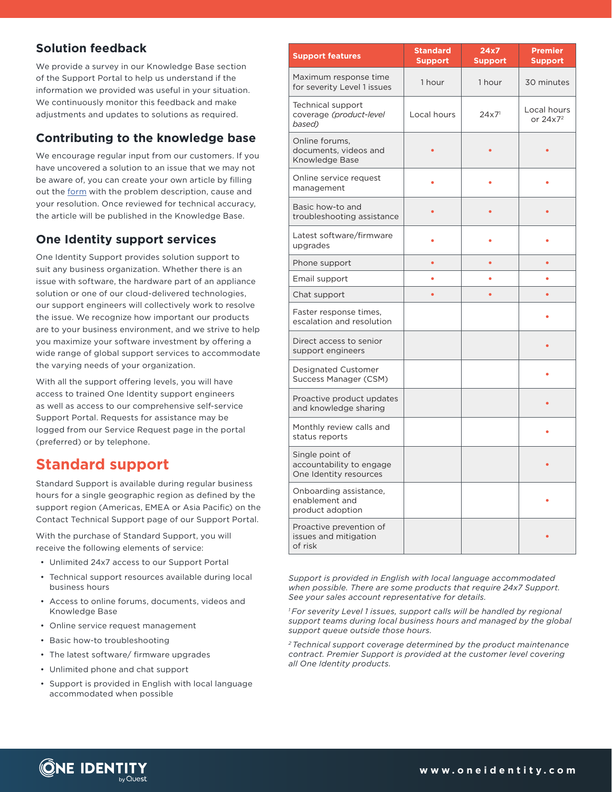### **Solution feedback**

We provide a survey in our Knowledge Base section of the Support Portal to help us understand if the information we provided was useful in your situation. We continuously monitor this feedback and make adjustments and updates to solutions as required.

### **Contributing to the knowledge base**

We encourage regular input from our customers. If you have uncovered a solution to an issue that we may not be aware of, you can create your own article by filling out the [form](https://support.oneidentity.com/create-knowledge-article) with the problem description, cause and your resolution. Once reviewed for technical accuracy, the article will be published in the Knowledge Base.

### **One Identity support services**

One Identity Support provides solution support to suit any business organization. Whether there is an issue with software, the hardware part of an appliance solution or one of our cloud-delivered technologies, our support engineers will collectively work to resolve the issue. We recognize how important our products are to your business environment, and we strive to help you maximize your software investment by offering a wide range of global support services to accommodate the varying needs of your organization.

With all the support offering levels, you will have access to trained One Identity support engineers as well as access to our comprehensive self-service Support Portal. Requests for assistance may be logged from our Service Request page in the portal (preferred) or by telephone.

### **Standard support**

Standard Support is available during regular business hours for a single geographic region as defined by the support region (Americas, EMEA or Asia Pacific) on the Contact Technical Support page of our Support Portal.

With the purchase of Standard Support, you will receive the following elements of service:

- Unlimited 24x7 access to our Support Portal
- Technical support resources available during local business hours
- Access to online forums, documents, videos and Knowledge Base
- Online service request management
- Basic how-to troubleshooting
- The latest software/ firmware upgrades
- Unlimited phone and chat support
- Support is provided in English with local language accommodated when possible

| <b>Support features</b>                                               | <b>Standard</b><br><b>Support</b> | 24x7<br><b>Support</b> | <b>Premier</b><br><b>Support</b>    |
|-----------------------------------------------------------------------|-----------------------------------|------------------------|-------------------------------------|
| Maximum response time<br>for severity Level 1 issues                  | 1 hour                            | 1 hour                 | 30 minutes                          |
| Technical support<br>coverage (product-level<br>based)                | Local hours                       | $24x7$ <sup>1</sup>    | Local hours<br>or 24x7 <sup>2</sup> |
| Online forums,<br>documents, videos and<br>Knowledge Base             |                                   |                        |                                     |
| Online service request<br>management                                  |                                   |                        |                                     |
| Basic how-to and<br>troubleshooting assistance                        |                                   |                        |                                     |
| Latest software/firmware<br>upgrades                                  |                                   |                        |                                     |
| Phone support                                                         |                                   |                        |                                     |
| Email support                                                         |                                   |                        |                                     |
| Chat support                                                          |                                   |                        |                                     |
| Faster response times,<br>escalation and resolution                   |                                   |                        |                                     |
| Direct access to senior<br>support engineers                          |                                   |                        |                                     |
| Designated Customer<br>Success Manager (CSM)                          |                                   |                        |                                     |
| Proactive product updates<br>and knowledge sharing                    |                                   |                        |                                     |
| Monthly review calls and<br>status reports                            |                                   |                        |                                     |
| Single point of<br>accountability to engage<br>One Identity resources |                                   |                        |                                     |
| Onboarding assistance,<br>enablement and<br>product adoption          |                                   |                        |                                     |
| Proactive prevention of<br>issues and mitigation<br>of risk           |                                   |                        |                                     |

*Support is provided in English with local language accommodated when possible. There are some products that require 24x7 Support. See your sales account representative for details.*

*1 For severity Level 1 issues, support calls will be handled by regional support teams during local business hours and managed by the global support queue outside those hours.*

*2 Technical support coverage determined by the product maintenance contract. Premier Support is provided at the customer level covering all One Identity products.*

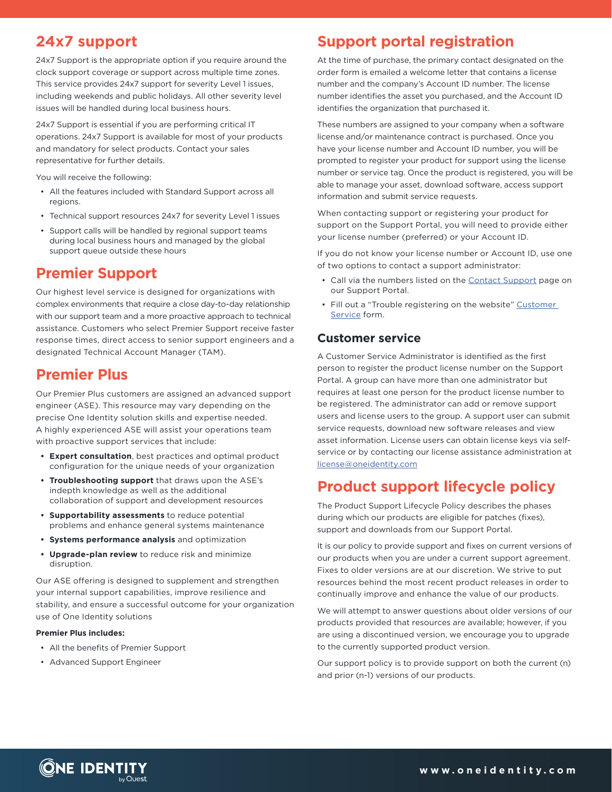### **24x7 support**

24x7 Support is the appropriate option if you require around the clock support coverage or support across multiple time zones. This service provides 24x7 support for severity Level 1 issues, including weekends and public holidays. All other severity level issues will be handled during local business hours.

24x7 Support is essential if you are performing critical IT operations. 24x7 Support is available for most of your products and mandatory for select products. Contact your sales representative for further details.

You will receive the following:

- All the features included with Standard Support across all regions.
- Technical support resources 24x7 for severity Level 1 issues
- Support calls will be handled by regional support teams during local business hours and managed by the global support queue outside these hours

### **Premier Support**

Our highest level service is designed for organizations with complex environments that require a close day-to-day relationship with our support team and a more proactive approach to technical assistance. Customers who select Premier Support receive faster response times, direct access to senior support engineers and a designated Technical Account Manager (TAM).

### **Premier Plus**

Our Premier Plus customers are assigned an advanced support engineer (ASE). This resource may vary depending on the precise One Identity solution skills and expertise needed. A highly experienced ASE will assist your operations team with proactive support services that include:

- **• Expert consultation**, best practices and optimal product configuration for the unique needs of your organization
- **• Troubleshooting support** that draws upon the ASE's indepth knowledge as well as the additional collaboration of support and development resources
- **• Supportability assessments** to reduce potential problems and enhance general systems maintenance
- **• Systems performance analysis** and optimization
- **• Upgrade-plan review** to reduce risk and minimize disruption.

Our ASE offering is designed to supplement and strengthen your internal support capabilities, improve resilience and stability, and ensure a successful outcome for your organization use of One Identity solutions

#### **Premier Plus includes:**

- All the benefits of Premier Support
- Advanced Support Engineer

### **Support portal registration**

At the time of purchase, the primary contact designated on the order form is emailed a welcome letter that contains a license number and the company's Account ID number. The license number identifies the asset you purchased, and the Account ID identifies the organization that purchased it.

These numbers are assigned to your company when a software license and/or maintenance contract is purchased. Once you have your license number and Account ID number, you will be prompted to register your product for support using the license number or service tag. Once the product is registered, you will be able to manage your asset, download software, access support information and submit service requests.

When contacting support or registering your product for support on the Support Portal, you will need to provide either your license number (preferred) or your Account ID.

If you do not know your license number or Account ID, use one of two options to contact a support administrator:

- Call via the numbers listed on the [Contact Support](https://support.oneidentity.com/contact-support) page on our Support Portal.
- Fill out a "Trouble registering on the website" [Customer](https://support.oneidentity.com/contact-us/customer-service?topicId=7)  [Service](https://support.oneidentity.com/contact-us/customer-service?topicId=7) form.

#### **Customer service**

A Customer Service Administrator is identified as the first person to register the product license number on the Support Portal. A group can have more than one administrator but requires at least one person for the product license number to be registered. The administrator can add or remove support users and license users to the group. A support user can submit service requests, download new software releases and view asset information. License users can obtain license keys via selfservice or by contacting our license assistance administration at license[@oneidentity.com](mailto:license%40oneidentity.com?subject=)

### **Product support lifecycle policy**

The Product Support Lifecycle Policy describes the phases during which our products are eligible for patches (fixes), support and downloads from our Support Portal.

It is our policy to provide support and fixes on current versions of our products when you are under a current support agreement. Fixes to older versions are at our discretion. We strive to put resources behind the most recent product releases in order to continually improve and enhance the value of our products.

We will attempt to answer questions about older versions of our products provided that resources are available; however, if you are using a discontinued version, we encourage you to upgrade to the currently supported product version.

Our support policy is to provide support on both the current (n) and prior (n-1) versions of our products.

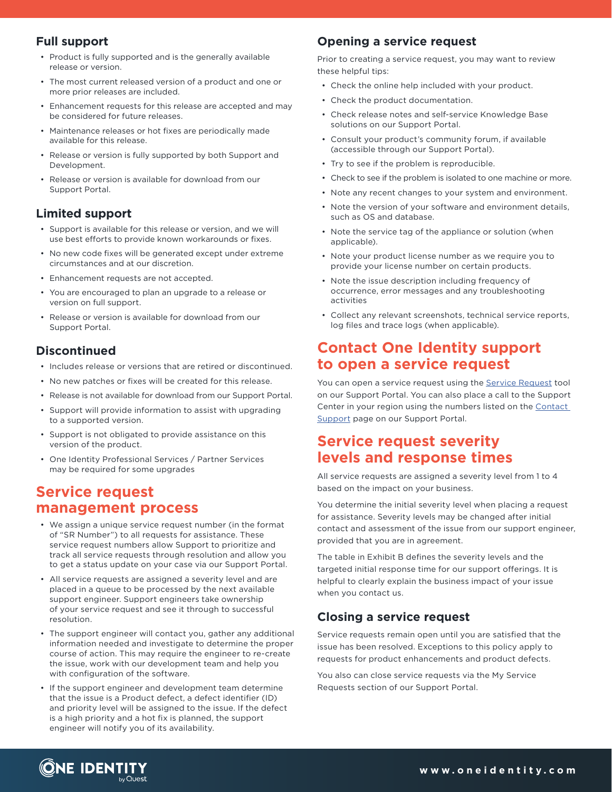### **Full support**

- Product is fully supported and is the generally available release or version.
- The most current released version of a product and one or more prior releases are included.
- Enhancement requests for this release are accepted and may be considered for future releases.
- Maintenance releases or hot fixes are periodically made available for this release.
- Release or version is fully supported by both Support and Development.
- Release or version is available for download from our Support Portal.

#### **Limited support**

- Support is available for this release or version, and we will use best efforts to provide known workarounds or fixes.
- No new code fixes will be generated except under extreme circumstances and at our discretion.
- Enhancement requests are not accepted.
- You are encouraged to plan an upgrade to a release or version on full support.
- Release or version is available for download from our Support Portal.

### **Discontinued**

- Includes release or versions that are retired or discontinued.
- No new patches or fixes will be created for this release.
- Release is not available for download from our Support Portal.
- Support will provide information to assist with upgrading to a supported version.
- Support is not obligated to provide assistance on this version of the product.
- One Identity Professional Services / Partner Services may be required for some upgrades

### **Service request management process**

- We assign a unique service request number (in the format of "SR Number") to all requests for assistance. These service request numbers allow Support to prioritize and track all service requests through resolution and allow you to get a status update on your case via our Support Portal.
- All service requests are assigned a severity level and are placed in a queue to be processed by the next available support engineer. Support engineers take ownership of your service request and see it through to successful resolution.
- The support engineer will contact you, gather any additional information needed and investigate to determine the proper course of action. This may require the engineer to re-create the issue, work with our development team and help you with configuration of the software.
- If the support engineer and development team determine that the issue is a Product defect, a defect identifier (ID) and priority level will be assigned to the issue. If the defect is a high priority and a hot fix is planned, the support engineer will notify you of its availability.

### **Opening a service request**

Prior to creating a service request, you may want to review these helpful tips:

- Check the online help included with your product.
- Check the product documentation.
- Check release notes and self-service Knowledge Base solutions on our Support Portal.
- Consult your product's community forum, if available (accessible through our Support Portal).
- Try to see if the problem is reproducible.
- Check to see if the problem is isolated to one machine or more.
- Note any recent changes to your system and environment.
- Note the version of your software and environment details, such as OS and database.
- Note the service tag of the appliance or solution (when applicable).
- Note your product license number as we require you to provide your license number on certain products.
- Note the issue description including frequency of occurrence, error messages and any troubleshooting activities
- Collect any relevant screenshots, technical service reports, log files and trace logs (when applicable).

### **Contact One Identity support to open a service request**

You can open a service request using the [Service Request](https://support.oneidentity.com/create-service-request) tool on our Support Portal. You can also place a call to the Support Center in your region using the numbers listed on the [Contact](https://support.oneidentity.com/contact-support)  [Support](https://support.oneidentity.com/contact-support) page on our Support Portal.

### **Service request severity levels and response times**

All service requests are assigned a severity level from 1 to 4 based on the impact on your business.

You determine the initial severity level when placing a request for assistance. Severity levels may be changed after initial contact and assessment of the issue from our support engineer, provided that you are in agreement.

The table in Exhibit B defines the severity levels and the targeted initial response time for our support offerings. It is helpful to clearly explain the business impact of your issue when you contact us.

#### **Closing a service request**

Service requests remain open until you are satisfied that the issue has been resolved. Exceptions to this policy apply to requests for product enhancements and product defects.

You also can close service requests via the My Service Requests section of our Support Portal.

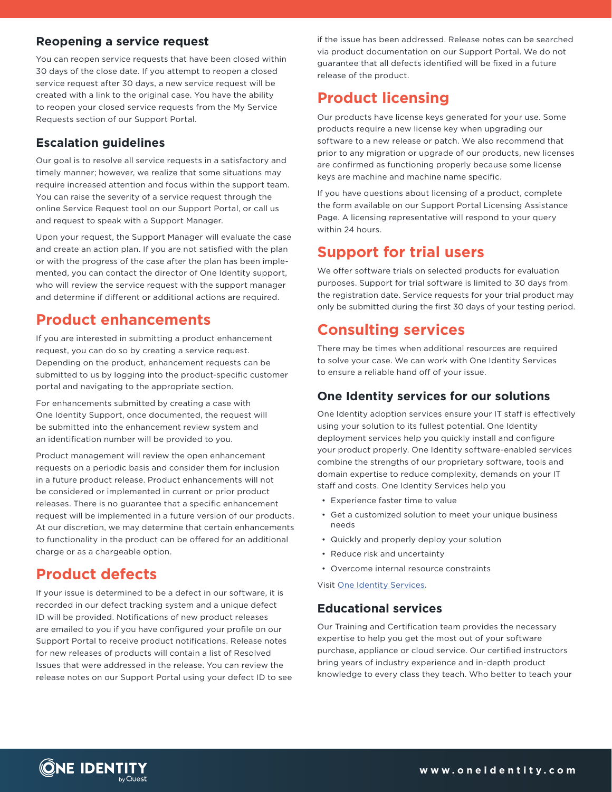#### **Reopening a service request**

You can reopen service requests that have been closed within 30 days of the close date. If you attempt to reopen a closed service request after 30 days, a new service request will be created with a link to the original case. You have the ability to reopen your closed service requests from the My Service Requests section of our Support Portal.

### **Escalation guidelines**

Our goal is to resolve all service requests in a satisfactory and timely manner; however, we realize that some situations may require increased attention and focus within the support team. You can raise the severity of a service request through the online Service Request tool on our Support Portal, or call us and request to speak with a Support Manager.

Upon your request, the Support Manager will evaluate the case and create an action plan. If you are not satisfied with the plan or with the progress of the case after the plan has been implemented, you can contact the director of One Identity support, who will review the service request with the support manager and determine if different or additional actions are required.

### **Product enhancements**

If you are interested in submitting a product enhancement request, you can do so by creating a service request. Depending on the product, enhancement requests can be submitted to us by logging into the product-specific customer portal and navigating to the appropriate section.

For enhancements submitted by creating a case with One Identity Support, once documented, the request will be submitted into the enhancement review system and an identification number will be provided to you.

Product management will review the open enhancement requests on a periodic basis and consider them for inclusion in a future product release. Product enhancements will not be considered or implemented in current or prior product releases. There is no guarantee that a specific enhancement request will be implemented in a future version of our products. At our discretion, we may determine that certain enhancements to functionality in the product can be offered for an additional charge or as a chargeable option.

### **Product defects**

If your issue is determined to be a defect in our software, it is recorded in our defect tracking system and a unique defect ID will be provided. Notifications of new product releases are emailed to you if you have configured your profile on our Support Portal to receive product notifications. Release notes for new releases of products will contain a list of Resolved Issues that were addressed in the release. You can review the release notes on our Support Portal using your defect ID to see if the issue has been addressed. Release notes can be searched via product documentation on our Support Portal. We do not guarantee that all defects identified will be fixed in a future release of the product.

## **Product licensing**

Our products have license keys generated for your use. Some products require a new license key when upgrading our software to a new release or patch. We also recommend that prior to any migration or upgrade of our products, new licenses are confirmed as functioning properly because some license keys are machine and machine name specific.

If you have questions about licensing of a product, complete the form available on our Support Portal Licensing Assistance Page. A licensing representative will respond to your query within 24 hours.

### **Support for trial users**

We offer software trials on selected products for evaluation purposes. Support for trial software is limited to 30 days from the registration date. Service requests for your trial product may only be submitted during the first 30 days of your testing period.

### **Consulting services**

There may be times when additional resources are required to solve your case. We can work with One Identity Services to ensure a reliable hand off of your issue.

#### **One Identity services for our solutions**

One Identity adoption services ensure your IT staff is effectively using your solution to its fullest potential. One Identity deployment services help you quickly install and configure your product properly. One Identity software-enabled services combine the strengths of our proprietary software, tools and domain expertise to reduce complexity, demands on your IT staff and costs. One Identity Services help you

- Experience faster time to value
- Get a customized solution to meet your unique business needs
- Quickly and properly deploy your solution
- Reduce risk and uncertainty
- Overcome internal resource constraints

Visit [One Identity Services](https://support.oneidentity.com/professional-services-product-select).

#### **Educational services**

Our Training and Certification team provides the necessary expertise to help you get the most out of your software purchase, appliance or cloud service. Our certified instructors bring years of industry experience and in-depth product knowledge to every class they teach. Who better to teach your

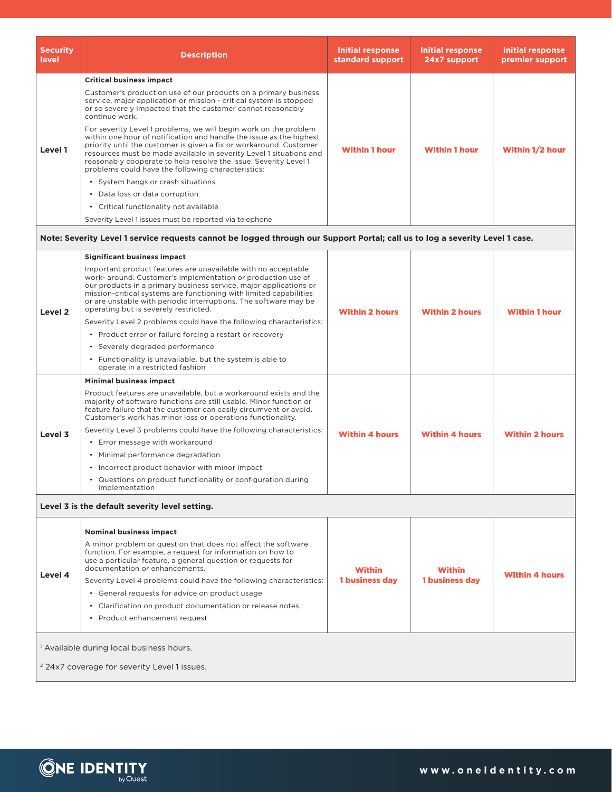| <b>Security</b><br>level | <b>Description</b>                                                                                                                                                                                                                                                                                                                                                                                             | Initial response<br>standard support | Initial response<br>24x7 support | Initial response<br>premier support |
|--------------------------|----------------------------------------------------------------------------------------------------------------------------------------------------------------------------------------------------------------------------------------------------------------------------------------------------------------------------------------------------------------------------------------------------------------|--------------------------------------|----------------------------------|-------------------------------------|
|                          | <b>Critical business impact</b>                                                                                                                                                                                                                                                                                                                                                                                |                                      |                                  |                                     |
| Level 1                  | Customer's production use of our products on a primary business<br>service, major application or mission - critical system is stopped<br>or so severely impacted that the customer cannot reasonably<br>continue work.                                                                                                                                                                                         |                                      | <b>Within 1 hour</b>             | Within 1/2 hour                     |
|                          | For severity Level 1 problems, we will begin work on the problem<br>within one hour of notification and handle the issue as the highest<br>priority until the customer is given a fix or workaround. Customer<br>resources must be made available in severity Level 1 situations and<br>reasonably cooperate to help resolve the issue. Severity Level 1<br>problems could have the following characteristics: | <b>Within 1 hour</b>                 |                                  |                                     |
|                          | • System hangs or crash situations                                                                                                                                                                                                                                                                                                                                                                             |                                      |                                  |                                     |
|                          | • Data loss or data corruption                                                                                                                                                                                                                                                                                                                                                                                 |                                      |                                  |                                     |
|                          | • Critical functionality not available                                                                                                                                                                                                                                                                                                                                                                         |                                      |                                  |                                     |
|                          | Severity Level 1 issues must be reported via telephone                                                                                                                                                                                                                                                                                                                                                         |                                      |                                  |                                     |

#### **Note: Severity Level 1 service requests cannot be logged through our Support Portal; call us to log a severity Level 1 case.**

| Level 2                                                                                                        | <b>Significant business impact</b>                                                                                                                                                                                                                                                                                                                                                                                                                                                                                                                          |                       |                                        |                       |  |  |
|----------------------------------------------------------------------------------------------------------------|-------------------------------------------------------------------------------------------------------------------------------------------------------------------------------------------------------------------------------------------------------------------------------------------------------------------------------------------------------------------------------------------------------------------------------------------------------------------------------------------------------------------------------------------------------------|-----------------------|----------------------------------------|-----------------------|--|--|
|                                                                                                                | Important product features are unavailable with no acceptable<br>work- around. Customer's implementation or production use of<br>our products in a primary business service, major applications or<br>mission-critical systems are functioning with limited capabilities<br>or are unstable with periodic interruptions. The software may be<br>operating but is severely restricted.<br>Severity Level 2 problems could have the following characteristics:<br>• Product error or failure forcing a restart or recovery<br>• Severely degraded performance | <b>Within 2 hours</b> | <b>Within 2 hours</b>                  | <b>Within 1 hour</b>  |  |  |
|                                                                                                                | • Functionality is unavailable, but the system is able to<br>operate in a restricted fashion                                                                                                                                                                                                                                                                                                                                                                                                                                                                |                       |                                        |                       |  |  |
|                                                                                                                | <b>Minimal business impact</b>                                                                                                                                                                                                                                                                                                                                                                                                                                                                                                                              |                       | <b>Within 4 hours</b>                  | <b>Within 2 hours</b> |  |  |
| Level 3                                                                                                        | Product features are unavailable, but a workaround exists and the<br>majority of software functions are still usable. Minor function or<br>feature failure that the customer can easily circumvent or avoid.<br>Customer's work has minor loss or operations functionality.                                                                                                                                                                                                                                                                                 |                       |                                        |                       |  |  |
|                                                                                                                | Severity Level 3 problems could have the following characteristics:                                                                                                                                                                                                                                                                                                                                                                                                                                                                                         | <b>Within 4 hours</b> |                                        |                       |  |  |
|                                                                                                                | • Error message with workaround                                                                                                                                                                                                                                                                                                                                                                                                                                                                                                                             |                       |                                        |                       |  |  |
|                                                                                                                | • Minimal performance degradation                                                                                                                                                                                                                                                                                                                                                                                                                                                                                                                           |                       |                                        |                       |  |  |
|                                                                                                                | • Incorrect product behavior with minor impact                                                                                                                                                                                                                                                                                                                                                                                                                                                                                                              |                       |                                        |                       |  |  |
|                                                                                                                | • Questions on product functionality or configuration during<br>implementation                                                                                                                                                                                                                                                                                                                                                                                                                                                                              |                       |                                        |                       |  |  |
| Level 3 is the default severity level setting.                                                                 |                                                                                                                                                                                                                                                                                                                                                                                                                                                                                                                                                             |                       |                                        |                       |  |  |
| Level 4                                                                                                        | <b>Nominal business impact</b>                                                                                                                                                                                                                                                                                                                                                                                                                                                                                                                              |                       | <b>Within</b><br><b>1 business day</b> | <b>Within 4 hours</b> |  |  |
|                                                                                                                | A minor problem or question that does not affect the software<br>function. For example, a request for information on how to<br>use a particular feature, a general question or requests for<br>documentation or enhancements.                                                                                                                                                                                                                                                                                                                               | <b>Within</b>         |                                        |                       |  |  |
|                                                                                                                | Severity Level 4 problems could have the following characteristics:                                                                                                                                                                                                                                                                                                                                                                                                                                                                                         | 1 business day        |                                        |                       |  |  |
|                                                                                                                | • General requests for advice on product usage                                                                                                                                                                                                                                                                                                                                                                                                                                                                                                              |                       |                                        |                       |  |  |
|                                                                                                                | • Clarification on product documentation or release notes                                                                                                                                                                                                                                                                                                                                                                                                                                                                                                   |                       |                                        |                       |  |  |
|                                                                                                                | • Product enhancement request                                                                                                                                                                                                                                                                                                                                                                                                                                                                                                                               |                       |                                        |                       |  |  |
| <sup>1</sup> Available during local business hours.<br><sup>2</sup> 24x7 coverage for severity Level 1 issues. |                                                                                                                                                                                                                                                                                                                                                                                                                                                                                                                                                             |                       |                                        |                       |  |  |
|                                                                                                                |                                                                                                                                                                                                                                                                                                                                                                                                                                                                                                                                                             |                       |                                        |                       |  |  |

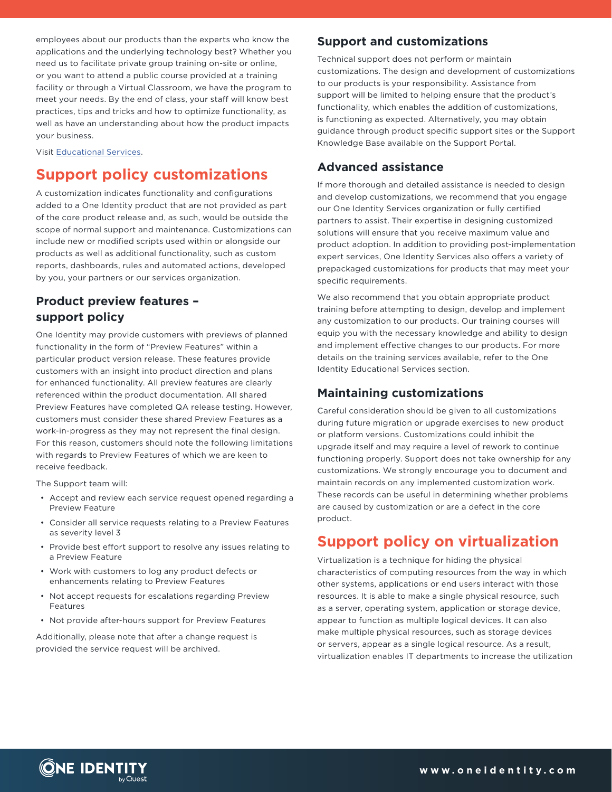employees about our products than the experts who know the applications and the underlying technology best? Whether you need us to facilitate private group training on-site or online, or you want to attend a public course provided at a training facility or through a Virtual Classroom, we have the program to meet your needs. By the end of class, your staff will know best practices, tips and tricks and how to optimize functionality, as well as have an understanding about how the product impacts your business.

Visit [Educational Services](https://support.oneidentity.com/training-product-select).

### **Support policy customizations**

A customization indicates functionality and configurations added to a One Identity product that are not provided as part of the core product release and, as such, would be outside the scope of normal support and maintenance. Customizations can include new or modified scripts used within or alongside our products as well as additional functionality, such as custom reports, dashboards, rules and automated actions, developed by you, your partners or our services organization.

### **Product preview features – support policy**

One Identity may provide customers with previews of planned functionality in the form of "Preview Features" within a particular product version release. These features provide customers with an insight into product direction and plans for enhanced functionality. All preview features are clearly referenced within the product documentation. All shared Preview Features have completed QA release testing. However, customers must consider these shared Preview Features as a work-in-progress as they may not represent the final design. For this reason, customers should note the following limitations with regards to Preview Features of which we are keen to receive feedback.

The Support team will:

- Accept and review each service request opened regarding a Preview Feature
- Consider all service requests relating to a Preview Features as severity level 3
- Provide best effort support to resolve any issues relating to a Preview Feature
- Work with customers to log any product defects or enhancements relating to Preview Features
- Not accept requests for escalations regarding Preview Features
- Not provide after-hours support for Preview Features

Additionally, please note that after a change request is provided the service request will be archived.

#### **Support and customizations**

Technical support does not perform or maintain customizations. The design and development of customizations to our products is your responsibility. Assistance from support will be limited to helping ensure that the product's functionality, which enables the addition of customizations, is functioning as expected. Alternatively, you may obtain guidance through product specific support sites or the Support Knowledge Base available on the Support Portal.

#### **Advanced assistance**

If more thorough and detailed assistance is needed to design and develop customizations, we recommend that you engage our One Identity Services organization or fully certified partners to assist. Their expertise in designing customized solutions will ensure that you receive maximum value and product adoption. In addition to providing post-implementation expert services, One Identity Services also offers a variety of prepackaged customizations for products that may meet your specific requirements.

We also recommend that you obtain appropriate product training before attempting to design, develop and implement any customization to our products. Our training courses will equip you with the necessary knowledge and ability to design and implement effective changes to our products. For more details on the training services available, refer to the One Identity Educational Services section.

#### **Maintaining customizations**

Careful consideration should be given to all customizations during future migration or upgrade exercises to new product or platform versions. Customizations could inhibit the upgrade itself and may require a level of rework to continue functioning properly. Support does not take ownership for any customizations. We strongly encourage you to document and maintain records on any implemented customization work. These records can be useful in determining whether problems are caused by customization or are a defect in the core product.

### **Support policy on virtualization**

Virtualization is a technique for hiding the physical characteristics of computing resources from the way in which other systems, applications or end users interact with those resources. It is able to make a single physical resource, such as a server, operating system, application or storage device, appear to function as multiple logical devices. It can also make multiple physical resources, such as storage devices or servers, appear as a single logical resource. As a result, virtualization enables IT departments to increase the utilization